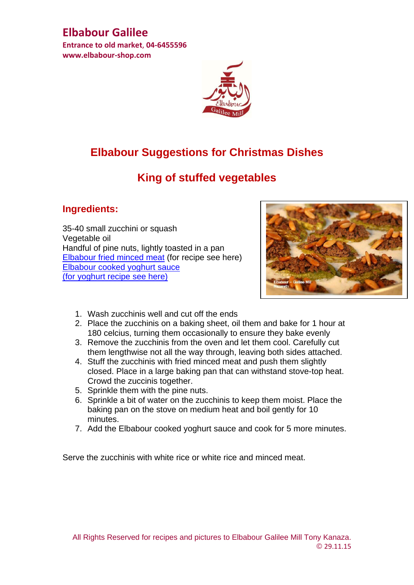# **Elbabour Galilee**

**Entrance to old market**, **04-6455596 www.elbabour-shop.com**



# **Elbabour Suggestions for Christmas Dishes**

# **King of stuffed vegetables**

#### **Ingredients:**

35-40 small zucchini or squash Vegetable oil Handful of pine nuts, lightly toasted in a pan [Elbabour fried minced meat](http://www.elbabour-shop.com/vault/documents/Fried%20minced%20meat%20corrected.pdf) (for recipe see here) [Elbabour cooked yoghurt sauce](http://www.elbabour-shop.com/document/73,60,1046.aspx)  [\(for yoghurt recipe see here\)](http://www.elbabour-shop.com/vault/documents/%D7%9E%D7%AA%D7%9B%D7%95%D7%9F%20%D7%99%D7%95%D7%92%D7%95%D7%A8%D7%98%20%D7%90%D7%A0%D7%92%D7%9C%D7%99%D7%AA.pdf)



- 1. Wash zucchinis well and cut off the ends
- 2. Place the zucchinis on a baking sheet, oil them and bake for 1 hour at 180 celcius, turning them occasionally to ensure they bake evenly
- 3. Remove the zucchinis from the oven and let them cool. Carefully cut them lengthwise not all the way through, leaving both sides attached.
- 4. Stuff the zucchinis with fried minced meat and push them slightly closed. Place in a large baking pan that can withstand stove-top heat. Crowd the zuccinis together.
- 5. Sprinkle them with the pine nuts.
- 6. Sprinkle a bit of water on the zucchinis to keep them moist. Place the baking pan on the stove on medium heat and boil gently for 10 minutes.
- 7. Add the Elbabour cooked yoghurt sauce and cook for 5 more minutes.

Serve the zucchinis with white rice or white rice and minced meat.